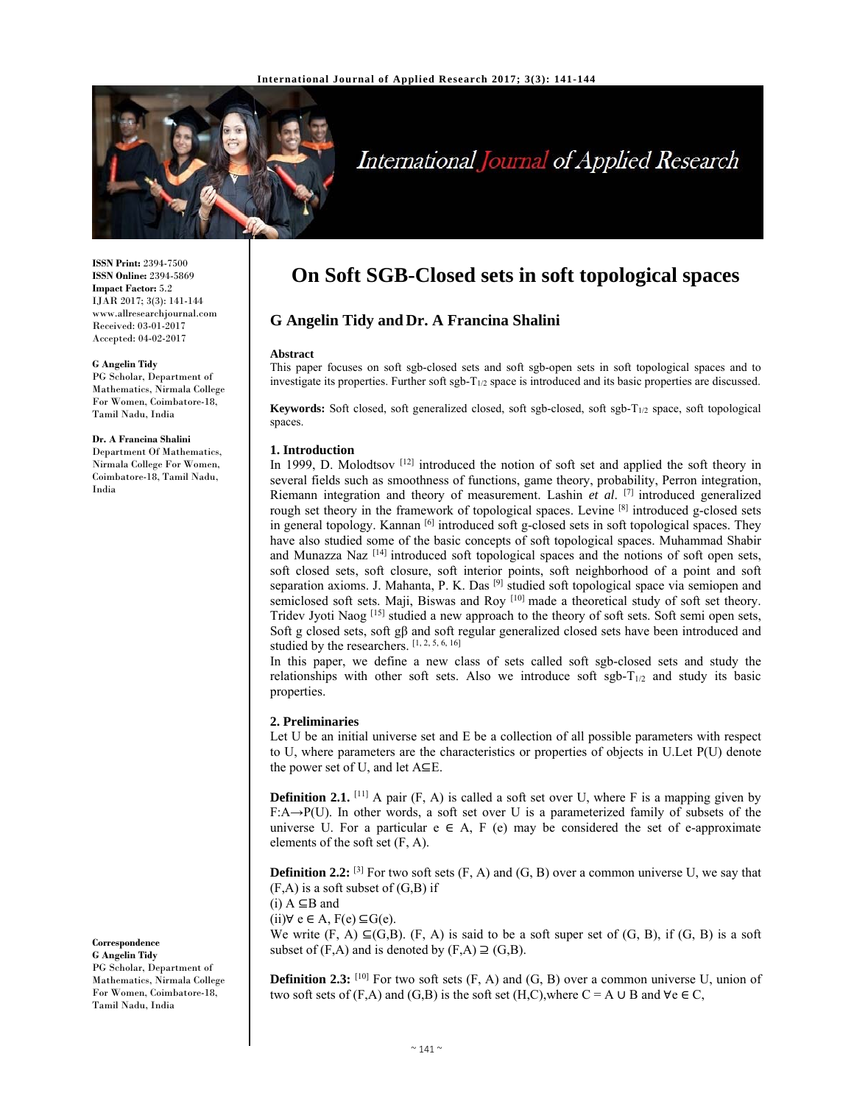

# International Journal of Applied Research

**ISSN Print:** 2394-7500 **ISSN Online:** 2394-5869 **Impact Factor:** 5.2 IJAR 2017; 3(3): 141-144 www.allresearchjournal.com Received: 03-01-2017 Accepted: 04-02-2017

#### **G Angelin Tidy**

PG Scholar, Department of Mathematics, Nirmala College For Women, Coimbatore-18, Tamil Nadu, India

**Dr. A Francina Shalini**  Department Of Mathematics,

Nirmala College For Women, Coimbatore-18, Tamil Nadu, India

**Correspondence G Angelin Tidy** 

PG Scholar, Department of Mathematics, Nirmala College For Women, Coimbatore-18, Tamil Nadu, India

## **On Soft SGB-Closed sets in soft topological spaces**

## **G Angelin Tidy and Dr. A Francina Shalini**

#### **Abstract**

This paper focuses on soft sgb-closed sets and soft sgb-open sets in soft topological spaces and to investigate its properties. Further soft sgb-T1/2 space is introduced and its basic properties are discussed.

**Keywords:** Soft closed, soft generalized closed, soft sgb-closed, soft sgb-T<sub>1/2</sub> space, soft topological spaces.

#### **1. Introduction**

In 1999, D. Molodtsov  $^{[12]}$  introduced the notion of soft set and applied the soft theory in several fields such as smoothness of functions, game theory, probability, Perron integration, Riemann integration and theory of measurement. Lashin *et al*. [7] introduced generalized rough set theory in the framework of topological spaces. Levine [8] introduced g-closed sets in general topology. Kannan  $\left[6\right]$  introduced soft g-closed sets in soft topological spaces. They have also studied some of the basic concepts of soft topological spaces. Muhammad Shabir and Munazza Naz  $^{[14]}$  introduced soft topological spaces and the notions of soft open sets, soft closed sets, soft closure, soft interior points, soft neighborhood of a point and soft separation axioms. J. Mahanta, P. K. Das  $[9]$  studied soft topological space via semiopen and semiclosed soft sets. Maji, Biswas and Roy [10] made a theoretical study of soft set theory. Tridev Jyoti Naog  $^{[15]}$  studied a new approach to the theory of soft sets. Soft semi open sets, Soft g closed sets, soft gβ and soft regular generalized closed sets have been introduced and studied by the researchers. [1, 2, 5, 6, 16]

In this paper, we define a new class of sets called soft sgb-closed sets and study the relationships with other soft sets. Also we introduce soft sgb- $T_{1/2}$  and study its basic properties.

### **2. Preliminaries**

Let U be an initial universe set and E be a collection of all possible parameters with respect to U, where parameters are the characteristics or properties of objects in U.Let P(U) denote the power set of U, and let A⊆E.

**Definition 2.1.** [11] A pair (F, A) is called a soft set over U, where F is a mapping given by F:A→P(U). In other words, a soft set over U is a parameterized family of subsets of the universe U. For a particular  $e \in A$ , F (e) may be considered the set of e-approximate elements of the soft set (F, A).

**Definition 2.2:** <sup>[3]</sup> For two soft sets (F, A) and (G, B) over a common universe U, we say that  $(F,A)$  is a soft subset of  $(G,B)$  if

 $(i)$  A ⊆B and

 $(ii)$ ∀ e ∈ A,  $F(e)$  ⊆ $G(e)$ .

We write  $(F, A) \subseteq (G,B)$ .  $(F, A)$  is said to be a soft super set of  $(G, B)$ , if  $(G, B)$  is a soft subset of  $(F,A)$  and is denoted by  $(F,A) \supseteq (G,B)$ .

**Definition 2.3:**  $[10]$  For two soft sets  $(F, A)$  and  $(G, B)$  over a common universe U, union of two soft sets of  $(F,A)$  and  $(G,B)$  is the soft set  $(H,C)$ , where  $C = A \cup B$  and  $\forall e \in C$ ,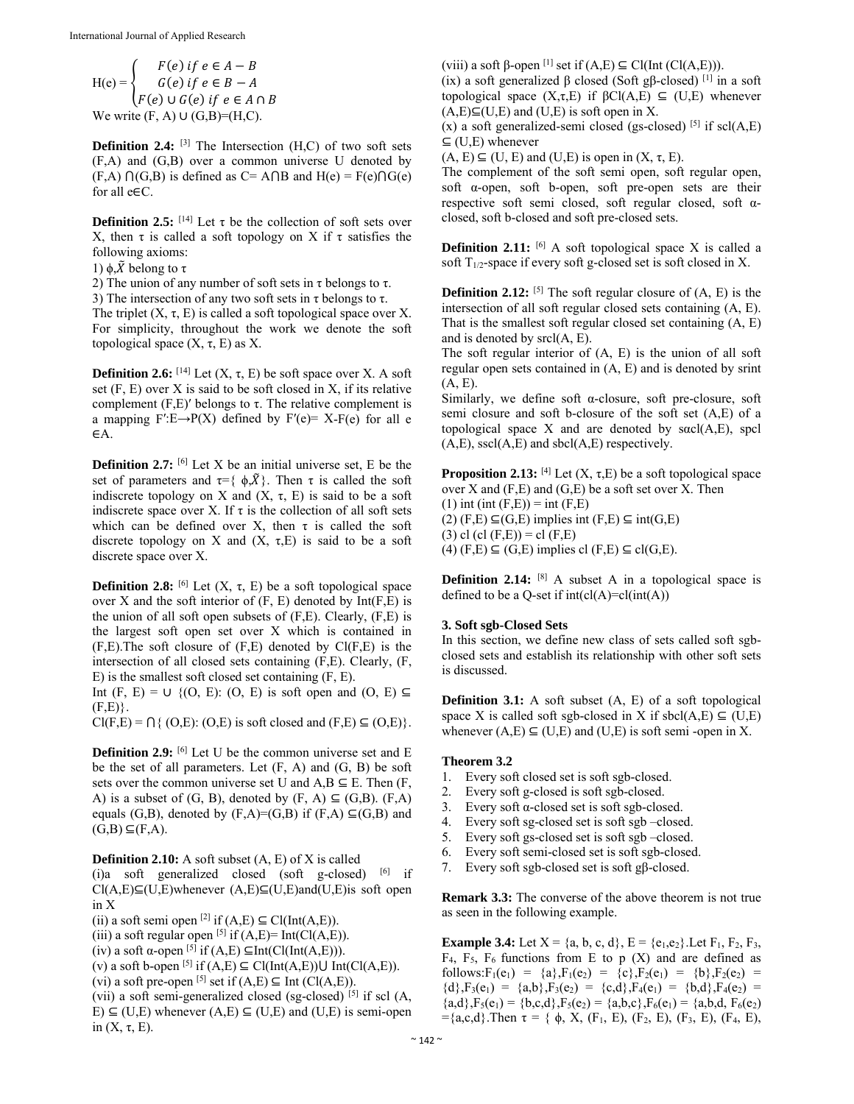$$
H(e) = \begin{cases} F(e) \text{ if } e \in A - B \\ G(e) \text{ if } e \in B - A \\ F(e) \cup G(e) \text{ if } e \in A \cap B \end{cases}
$$
  
We write  $(F, A) \cup (G, B) = (H, C)$ .

**Definition 2.4:** <sup>[3]</sup> The Intersection (H,C) of two soft sets (F,A) and (G,B) over a common universe U denoted by  $(F,A) \cap (G,B)$  is defined as  $C = A \cap B$  and  $H(e) = F(e) \cap G(e)$ for all e∈C.

**Definition 2.5:**  $[14]$  Let  $\tau$  be the collection of soft sets over X, then τ is called a soft topology on X if τ satisfies the following axioms:

1)  $\phi$ ,  $\tilde{X}$  belong to τ

2) The union of any number of soft sets in  $\tau$  belongs to  $\tau$ .

3) The intersection of any two soft sets in  $\tau$  belongs to  $\tau$ .

The triplet  $(X, \tau, E)$  is called a soft topological space over X. For simplicity, throughout the work we denote the soft topological space  $(X, τ, E)$  as  $X$ .

**Definition 2.6:**  $[14]$  Let  $(X, \tau, E)$  be soft space over X. A soft set (F, E) over X is said to be soft closed in X, if its relative complement  $(F, E)'$  belongs to τ. The relative complement is a mapping  $F'E\rightarrow P(X)$  defined by  $F'(e)= X-F(e)$  for all e ∈A.

**Definition 2.7:** <sup>[6]</sup> Let X be an initial universe set, E be the set of parameters and  $\tau = \{ \phi, \tilde{X} \}$ . Then  $\tau$  is called the soft indiscrete topology on X and  $(X, \tau, E)$  is said to be a soft indiscrete space over X. If  $\tau$  is the collection of all soft sets which can be defined over X, then  $\tau$  is called the soft discrete topology on X and  $(X, \tau, E)$  is said to be a soft discrete space over X.

**Definition 2.8:** <sup>[6]</sup> Let  $(X, \tau, E)$  be a soft topological space over  $X$  and the soft interior of  $(F, E)$  denoted by  $Int(F, E)$  is the union of all soft open subsets of (F,E). Clearly, (F,E) is the largest soft open set over X which is contained in  $(F,E)$ . The soft closure of  $(F,E)$  denoted by  $Cl(F,E)$  is the intersection of all closed sets containing (F,E). Clearly, (F, E) is the smallest soft closed set containing (F, E).

Int  $(F, E) = \cup \{ (O, E) : (O, E) \text{ is soft open and } (O, E) \subseteq$  $(F,E)$ .

 $Cl(F,E) = \bigcap \{ (O,E): (O,E) \text{ is soft closed and } (F,E) \subseteq (O,E) \}.$ 

**Definition 2.9:** <sup>[6]</sup> Let U be the common universe set and E be the set of all parameters. Let (F, A) and (G, B) be soft sets over the common universe set U and  $A, B \subseteq E$ . Then  $(F,$ A) is a subset of  $(G, B)$ , denoted by  $(F, A) \subseteq (G, B)$ .  $(F, A)$ equals (G,B), denoted by  $(F,A)=(G,B)$  if  $(F,A)\subseteq (G,B)$  and  $(G,B) \subseteq (F,A)$ .

**Definition 2.10:** A soft subset (A, E) of X is called (i)a soft generalized closed (soft g-closed)  $[6]$  if  $Cl(A, E) \subseteq (U, E)$ whenever  $(A, E) \subseteq (U, E)$ and $(U, E)$ is soft open in X

(ii) a soft semi open  $^{[2]}$  if  $(A,E) \subseteq \text{Cl}(\text{Int}(A,E)).$ 

(iii) a soft regular open  $^{[5]}$  if  $(A, E)$ = Int(Cl $(A, E)$ ).

(iv) a soft  $\alpha$ -open <sup>[5]</sup> if (A,E)  $\subseteq$ Int(Cl(Int(A,E))).

(v) a soft b-open <sup>[5]</sup> if  $(A, E) \subseteq \text{Cl}(\text{Int}(A, E)) \cup \text{Int}(\text{Cl}(A, E)).$ 

(vi) a soft pre-open <sup>[5]</sup> set if  $(A,E) \subseteq$  Int  $(Cl(A,E))$ .

(vii) a soft semi-generalized closed (sg-closed) [5] if scl (A, E)  $\subseteq$  (U,E) whenever (A,E)  $\subseteq$  (U,E) and (U,E) is semi-open in  $(X, \tau, E)$ .

(viii) a soft β-open  $[1]$  set if  $(A,E) \subseteq Cl(int (Cl(A,E))).$ 

(ix) a soft generalized  $\beta$  closed (Soft g $\beta$ -closed) [1] in a soft topological space  $(X,\tau,E)$  if  $\beta Cl(A,E) \subseteq (U,E)$  whenever  $(A,E) \subseteq (U,E)$  and  $(U,E)$  is soft open in X.

(x) a soft generalized-semi closed (gs-closed)  $[5]$  if scl(A,E)  $\subseteq$  (U,E) whenever

 $(A, E) \subseteq (U, E)$  and  $(U, E)$  is open in  $(X, \tau, E)$ .

The complement of the soft semi open, soft regular open, soft α-open, soft b-open, soft pre-open sets are their respective soft semi closed, soft regular closed, soft αclosed, soft b-closed and soft pre-closed sets.

**Definition 2.11:**  $[6]$  A soft topological space X is called a soft  $T_{1/2}$ -space if every soft g-closed set is soft closed in X.

**Definition 2.12:**  $[5]$  The soft regular closure of  $(A, E)$  is the intersection of all soft regular closed sets containing (A, E). That is the smallest soft regular closed set containing (A, E) and is denoted by srcl(A, E).

The soft regular interior of (A, E) is the union of all soft regular open sets contained in (A, E) and is denoted by srint (A, E).

Similarly, we define soft α-closure, soft pre-closure, soft semi closure and soft b-closure of the soft set (A,E) of a topological space X and are denoted by sαcl(A,E), spcl  $(A, E)$ , sscl $(A, E)$  and sbcl $(A, E)$  respectively.

**Proposition 2.13:** [4] Let  $(X, \tau, E)$  be a soft topological space over  $X$  and  $(F, E)$  and  $(G, E)$  be a soft set over  $X$ . Then  $(1)$  int (int  $(F,E)$ ) = int  $(F,E)$  $(2)$  (F,E)  $\subseteq$ (G,E) implies int (F,E)  $\subseteq$  int(G,E) (3) cl (cl  $(F,E)$ ) = cl  $(F,E)$  $(4)$  (F,E)  $\subseteq$  (G,E) implies cl (F,E)  $\subseteq$  cl(G,E).

**Definition 2.14:** <sup>[8]</sup> A subset A in a topological space is defined to be a Q-set if  $int(cl(A)=cl(int(A)))$ 

## **3. Soft sgb-Closed Sets**

In this section, we define new class of sets called soft sgbclosed sets and establish its relationship with other soft sets is discussed.

**Definition 3.1:** A soft subset  $(A, E)$  of a soft topological space X is called soft sgb-closed in X if  $\text{sbcl}(A, E) \subseteq (U, E)$ whenever  $(A, E) \subseteq (U, E)$  and  $(U, E)$  is soft semi-open in X.

## **Theorem 3.2**

- 1. Every soft closed set is soft sgb-closed.
- 2. Every soft g-closed is soft sgb-closed.
- 3. Every soft α-closed set is soft sgb-closed.
- 4. Every soft sg-closed set is soft sgb –closed.
- 5. Every soft gs-closed set is soft sgb –closed.
- 6. Every soft semi-closed set is soft sgb-closed.
- 7. Every soft sgb-closed set is soft gβ-closed.

**Remark 3.3:** The converse of the above theorem is not true as seen in the following example.

**Example 3.4:** Let  $X = \{a, b, c, d\}$ ,  $E = \{e_1, e_2\}$ . Let  $F_1$ ,  $F_2$ ,  $F_3$ ,  $F_4$ ,  $F_5$ ,  $F_6$  functions from E to p (X) and are defined as follows: $F_1(e_1) = \{a\}$ , $F_1(e_2) = \{c\}$ , $F_2(e_1) = \{b\}$ , $F_2(e_2) =$  ${d}, F_3(e_1) = {a,b}, F_3(e_2) = {c,d}, F_4(e_1) = {b,d}, F_4(e_2) =$  ${a,d}$ ,  $F_5(e_1) = {b,c,d}$ ,  $F_5(e_2) = {a,b,c}$ ,  $F_6(e_1) = {a,b,d}$ ,  $F_6(e_2)$  $=\{a,c,d\}$ . Then  $\tau = \{\phi, X, (F_1, E), (F_2, E), (F_3, E), (F_4, E),\}$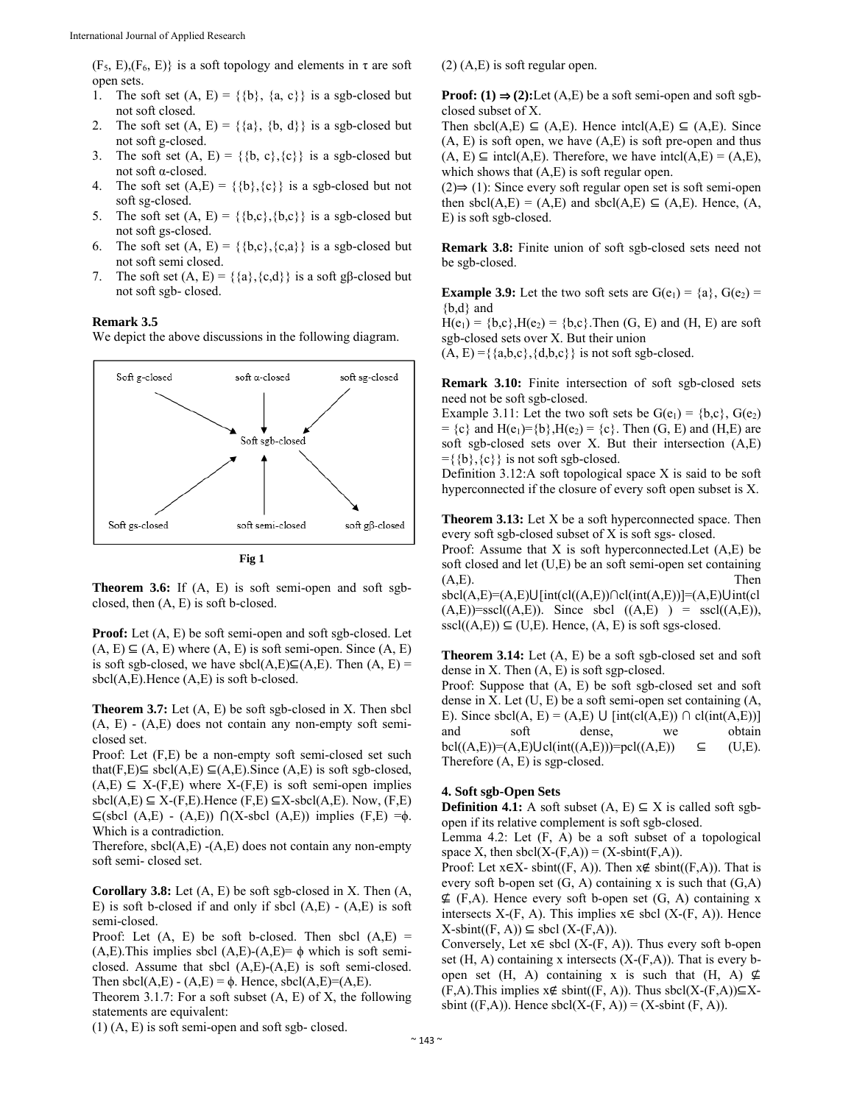$(F_5, E), (F_6, E)$  is a soft topology and elements in  $\tau$  are soft open sets.

- 1. The soft set  $(A, E) = \{\{b\}, \{a, c\}\}\$ is a sgb-closed but not soft closed.
- 2. The soft set  $(A, E) = \{\{a\}, \{b, d\}\}\$ is a sgb-closed but not soft g-closed.
- 3. The soft set  $(A, E) = \{\{b, c\}, \{c\}\}\$ is a sgb-closed but not soft α-closed.
- 4. The soft set  $(A, E) = \{\{b\}, \{c\}\}\$ is a sgb-closed but not soft sg-closed.
- 5. The soft set  $(A, E) = \{\{b,c\}, \{b,c\}\}\$ is a sgb-closed but not soft gs-closed.
- 6. The soft set  $(A, E) = \{\{b,c\}, \{c,a\}\}\)$  is a sgb-closed but not soft semi closed.
- 7. The soft set  $(A, E) = \{\{a\}, \{c,d\}\}\$ is a soft gβ-closed but not soft sgb- closed.

## **Remark 3.5**

We depict the above discussions in the following diagram.





**Proof:** Let  $(A, E)$  be soft semi-open and soft sgb-closed. Let  $(A, E) \subseteq (A, E)$  where  $(A, E)$  is soft semi-open. Since  $(A, E)$ is soft sgb-closed, we have sbcl(A,E) $\subseteq$ (A,E). Then (A, E) = sbcl(A,E).Hence (A,E) is soft b-closed.

**Theorem 3.7:** Let  $(A, E)$  be soft sgb-closed in X. Then sbcl  $(A, E)$  -  $(A, E)$  does not contain any non-empty soft semiclosed set.

Proof: Let (F,E) be a non-empty soft semi-closed set such that(F,E)⊆ sbcl(A,E) ⊆(A,E).Since (A,E) is soft sgb-closed,  $(A, E) \subseteq X-(F, E)$  where  $X-(F, E)$  is soft semi-open implies sbcl(A,E)  $\subseteq$  X-(F,E). Hence (F,E)  $\subseteq$ X-sbcl(A,E). Now, (F,E) ⊆(sbcl (A,E) - (A,E)) ⋂(X-sbcl (A,E)) implies (F,E) =ϕ. Which is a contradiction.

Therefore,  $\text{sbcl}(A, E)$  -(A,E) does not contain any non-empty soft semi- closed set.

**Corollary 3.8:** Let (A, E) be soft sgb-closed in X. Then (A, E) is soft b-closed if and only if sbcl  $(A, E)$  -  $(A, E)$  is soft semi-closed.

Proof: Let  $(A, E)$  be soft b-closed. Then sbcl  $(A, E)$  = (A,E). This implies sbcl (A,E)-(A,E)=  $\phi$  which is soft semiclosed. Assume that sbcl (A,E)-(A,E) is soft semi-closed. Then sbcl(A,E) - (A,E) =  $\phi$ . Hence, sbcl(A,E)=(A,E).

Theorem 3.1.7: For a soft subset (A, E) of X, the following statements are equivalent:

(1) (A, E) is soft semi-open and soft sgb- closed.

(2) (A,E) is soft regular open.

**Proof:** (1)  $\Rightarrow$  (2):Let (A,E) be a soft semi-open and soft sgbclosed subset of X.

Then sbcl(A,E)  $\subseteq$  (A,E). Hence intcl(A,E)  $\subseteq$  (A,E). Since  $(A, E)$  is soft open, we have  $(A, E)$  is soft pre-open and thus  $(A, E) \subseteq \text{intcl}(A, E)$ . Therefore, we have  $\text{intcl}(A, E) = (A, E)$ , which shows that  $(A, E)$  is soft regular open.

 $(2)$  ⇒ (1): Since every soft regular open set is soft semi-open then sbcl(A,E) = (A,E) and sbcl(A,E)  $\subseteq$  (A,E). Hence, (A, E) is soft sgb-closed.

**Remark 3.8:** Finite union of soft sgb-closed sets need not be sgb-closed.

**Example 3.9:** Let the two soft sets are  $G(e_1) = \{a\}$ ,  $G(e_2) =$ {b,d} and  $H(e_1) = {b,c}, H(e_2) = {b,c}.$  Then  $(G, E)$  and  $(H, E)$  are soft

sgb-closed sets over X. But their union  $(A, E) = \{\{a,b,c\}, \{d,b,c\}\}\$ is not soft sgb-closed.

**Remark 3.10:** Finite intersection of soft sgb-closed sets need not be soft sgb-closed.

Example 3.11: Let the two soft sets be  $G(e_1) = \{b,c\}$ ,  $G(e_2)$  $= {c}$  and  $H(e_1) = {b}$ ,  $H(e_2) = {c}$ . Then (G, E) and (H, E) are soft sgb-closed sets over X. But their intersection (A,E)  $=\{\{b\},\{c\}\}\$ is not soft sgb-closed.

Definition 3.12:A soft topological space X is said to be soft hyperconnected if the closure of every soft open subset is X.

**Theorem 3.13:** Let X be a soft hyperconnected space. Then every soft sgb-closed subset of X is soft sgs- closed.

Proof: Assume that  $X$  is soft hyperconnected. Let  $(A, E)$  be soft closed and let (U,E) be an soft semi-open set containing  $(A, E)$ . Then

sbcl(A,E)=(A,E) $\bigcup [int(cl((A, E)) \cap cl(int(A, E))] = (A, E) \bigcup int(cl$  $(A,E)=sscl((A,E))$ . Since sbcl  $((A,E)) = sscl((A,E))$ ,  $\text{sscl}((A, E)) \subseteq (U, E)$ . Hence,  $(A, E)$  is soft sgs-closed.

**Theorem 3.14:** Let (A, E) be a soft sgb-closed set and soft dense in X. Then (A, E) is soft sgp-closed.

Proof: Suppose that (A, E) be soft sgb-closed set and soft dense in X. Let (U, E) be a soft semi-open set containing (A, E). Since sbcl(A, E) = (A,E)  $\cup$  [int(cl(A,E))  $\cap$  cl(int(A,E))] and soft dense, we obtain  $\text{bel}((A,E))=(A,E)\text{Ucl}(\text{int}((A,E)))=\text{pel}((A,E)) \subseteq$  (U,E). Therefore (A, E) is sgp-closed.

## **4. Soft sgb-Open Sets**

**Definition 4.1:** A soft subset  $(A, E) \subseteq X$  is called soft sgbopen if its relative complement is soft sgb-closed.

Lemma 4.2: Let  $(F, A)$  be a soft subset of a topological space X, then  $\text{sbcl}(X-(F,A)) = (X-\text{sbint}(F,A)).$ 

Proof: Let  $x \in X$ - sbint((F, A)). Then  $x \notin \text{sbint}((F,A))$ . That is every soft b-open set  $(G, A)$  containing x is such that  $(G, A)$  $\nsubseteq$  (F,A). Hence every soft b-open set (G, A) containing x intersects X-(F, A). This implies  $x \in$  sbcl (X-(F, A)). Hence  $X\text{-}sbint((F, A)) \subseteq sbcl(X-(F,A)).$ 

Conversely, Let  $x \in$  sbcl  $(X-(F, A))$ . Thus every soft b-open set  $(H, A)$  containing x intersects  $(X-(F,A))$ . That is every bopen set (H, A) containing x is such that (H, A)  $\neq$  $(F,A)$ . This implies  $x \notin \text{sbint}((F, A))$ . Thus  $\text{sbcl}(X-(F,A))\subseteq X$ sbint ((F,A)). Hence  $\text{sbcl}(X-(F, A)) = (X-\text{sbint}(F, A)).$